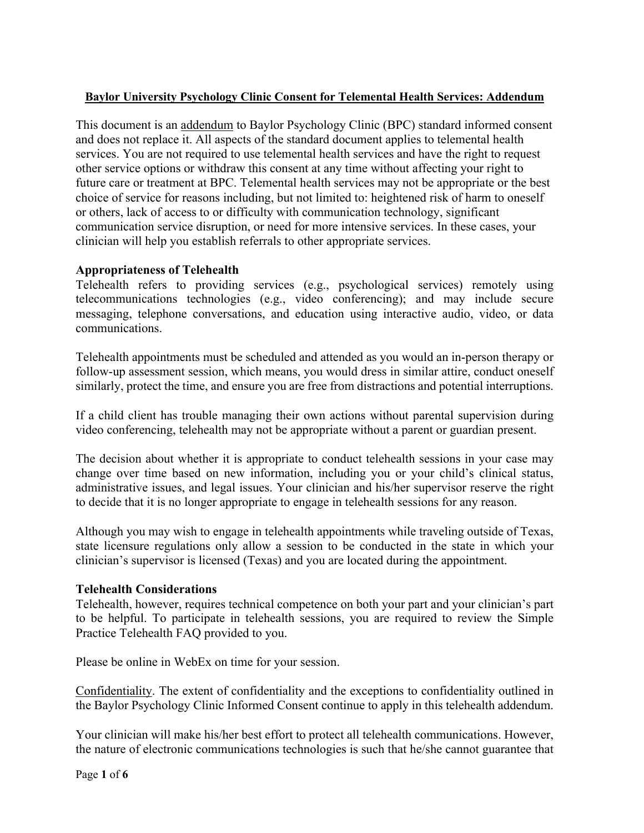# **Baylor University Psychology Clinic Consent for Telemental Health Services: Addendum**

This document is an addendum to Baylor Psychology Clinic (BPC) standard informed consent and does not replace it. All aspects of the standard document applies to telemental health services. You are not required to use telemental health services and have the right to request other service options or withdraw this consent at any time without affecting your right to future care or treatment at BPC. Telemental health services may not be appropriate or the best choice of service for reasons including, but not limited to: heightened risk of harm to oneself or others, lack of access to or difficulty with communication technology, significant communication service disruption, or need for more intensive services. In these cases, your clinician will help you establish referrals to other appropriate services.

# **Appropriateness of Telehealth**

Telehealth refers to providing services (e.g., psychological services) remotely using telecommunications technologies (e.g., video conferencing); and may include secure messaging, telephone conversations, and education using interactive audio, video, or data communications.

Telehealth appointments must be scheduled and attended as you would an in-person therapy or follow-up assessment session, which means, you would dress in similar attire, conduct oneself similarly, protect the time, and ensure you are free from distractions and potential interruptions.

If a child client has trouble managing their own actions without parental supervision during video conferencing, telehealth may not be appropriate without a parent or guardian present.

The decision about whether it is appropriate to conduct telehealth sessions in your case may change over time based on new information, including you or your child's clinical status, administrative issues, and legal issues. Your clinician and his/her supervisor reserve the right to decide that it is no longer appropriate to engage in telehealth sessions for any reason.

Although you may wish to engage in telehealth appointments while traveling outside of Texas, state licensure regulations only allow a session to be conducted in the state in which your clinician's supervisor is licensed (Texas) and you are located during the appointment.

### **Telehealth Considerations**

Telehealth, however, requires technical competence on both your part and your clinician's part to be helpful. To participate in telehealth sessions, you are required to review the Simple Practice Telehealth FAQ provided to you.

Please be online in WebEx on time for your session.

Confidentiality. The extent of confidentiality and the exceptions to confidentiality outlined in the Baylor Psychology Clinic Informed Consent continue to apply in this telehealth addendum.

Your clinician will make his/her best effort to protect all telehealth communications. However, the nature of electronic communications technologies is such that he/she cannot guarantee that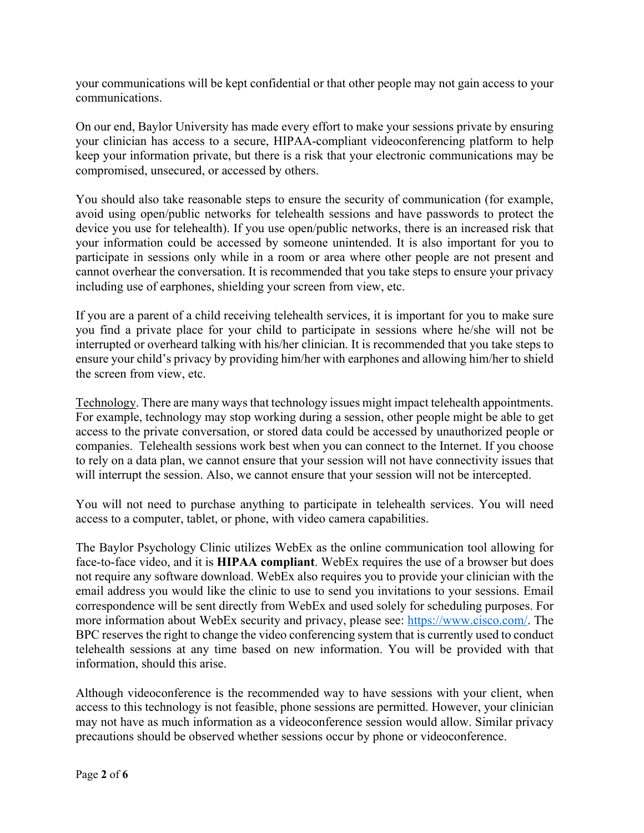your communications will be kept confidential or that other people may not gain access to your communications.

On our end, Baylor University has made every effort to make your sessions private by ensuring your clinician has access to a secure, HIPAA-compliant videoconferencing platform to help keep your information private, but there is a risk that your electronic communications may be compromised, unsecured, or accessed by others.

You should also take reasonable steps to ensure the security of communication (for example, avoid using open/public networks for telehealth sessions and have passwords to protect the device you use for telehealth). If you use open/public networks, there is an increased risk that your information could be accessed by someone unintended. It is also important for you to participate in sessions only while in a room or area where other people are not present and cannot overhear the conversation. It is recommended that you take steps to ensure your privacy including use of earphones, shielding your screen from view, etc.

If you are a parent of a child receiving telehealth services, it is important for you to make sure you find a private place for your child to participate in sessions where he/she will not be interrupted or overheard talking with his/her clinician. It is recommended that you take steps to ensure your child's privacy by providing him/her with earphones and allowing him/her to shield the screen from view, etc.

Technology. There are many ways that technology issues might impact telehealth appointments. For example, technology may stop working during a session, other people might be able to get access to the private conversation, or stored data could be accessed by unauthorized people or companies. Telehealth sessions work best when you can connect to the Internet. If you choose to rely on a data plan, we cannot ensure that your session will not have connectivity issues that will interrupt the session. Also, we cannot ensure that your session will not be intercepted.

You will not need to purchase anything to participate in telehealth services. You will need access to a computer, tablet, or phone, with video camera capabilities.

The Baylor Psychology Clinic utilizes WebEx as the online communication tool allowing for face-to-face video, and it is **HIPAA compliant**. WebEx requires the use of a browser but does not require any software download. WebEx also requires you to provide your clinician with the email address you would like the clinic to use to send you invitations to your sessions. Email correspondence will be sent directly from WebEx and used solely for scheduling purposes. For more information about WebEx security and privacy, please see: https://www.cisco.com/. The BPC reserves the right to change the video conferencing system that is currently used to conduct telehealth sessions at any time based on new information. You will be provided with that information, should this arise.

Although videoconference is the recommended way to have sessions with your client, when access to this technology is not feasible, phone sessions are permitted. However, your clinician may not have as much information as a videoconference session would allow. Similar privacy precautions should be observed whether sessions occur by phone or videoconference.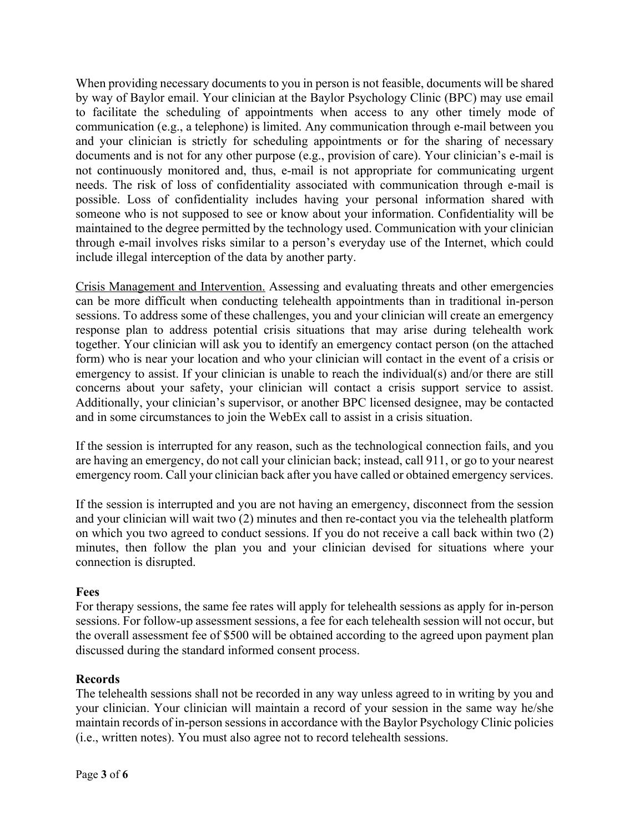When providing necessary documents to you in person is not feasible, documents will be shared by way of Baylor email. Your clinician at the Baylor Psychology Clinic (BPC) may use email to facilitate the scheduling of appointments when access to any other timely mode of communication (e.g., a telephone) is limited. Any communication through e-mail between you and your clinician is strictly for scheduling appointments or for the sharing of necessary documents and is not for any other purpose (e.g., provision of care). Your clinician's e-mail is not continuously monitored and, thus, e-mail is not appropriate for communicating urgent needs. The risk of loss of confidentiality associated with communication through e-mail is possible. Loss of confidentiality includes having your personal information shared with someone who is not supposed to see or know about your information. Confidentiality will be maintained to the degree permitted by the technology used. Communication with your clinician through e-mail involves risks similar to a person's everyday use of the Internet, which could include illegal interception of the data by another party.

Crisis Management and Intervention. Assessing and evaluating threats and other emergencies can be more difficult when conducting telehealth appointments than in traditional in-person sessions. To address some of these challenges, you and your clinician will create an emergency response plan to address potential crisis situations that may arise during telehealth work together. Your clinician will ask you to identify an emergency contact person (on the attached form) who is near your location and who your clinician will contact in the event of a crisis or emergency to assist. If your clinician is unable to reach the individual(s) and/or there are still concerns about your safety, your clinician will contact a crisis support service to assist. Additionally, your clinician's supervisor, or another BPC licensed designee, may be contacted and in some circumstances to join the WebEx call to assist in a crisis situation.

If the session is interrupted for any reason, such as the technological connection fails, and you are having an emergency, do not call your clinician back; instead, call 911, or go to your nearest emergency room. Call your clinician back after you have called or obtained emergency services.

If the session is interrupted and you are not having an emergency, disconnect from the session and your clinician will wait two (2) minutes and then re-contact you via the telehealth platform on which you two agreed to conduct sessions. If you do not receive a call back within two (2) minutes, then follow the plan you and your clinician devised for situations where your connection is disrupted.

### **Fees**

For therapy sessions, the same fee rates will apply for telehealth sessions as apply for in-person sessions. For follow-up assessment sessions, a fee for each telehealth session will not occur, but the overall assessment fee of \$500 will be obtained according to the agreed upon payment plan discussed during the standard informed consent process.

### **Records**

The telehealth sessions shall not be recorded in any way unless agreed to in writing by you and your clinician. Your clinician will maintain a record of your session in the same way he/she maintain records of in-person sessions in accordance with the Baylor Psychology Clinic policies (i.e., written notes). You must also agree not to record telehealth sessions.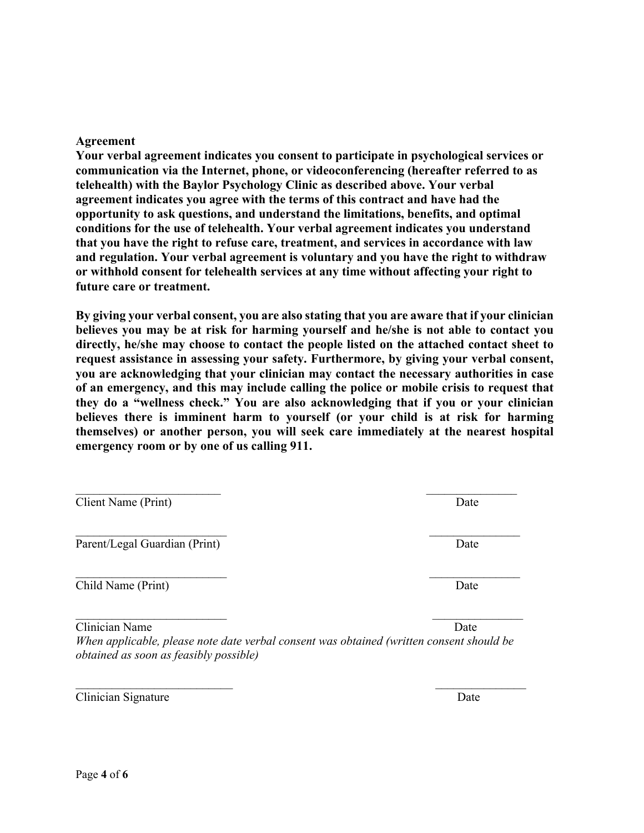Page **4** of **6**

#### **Agreement**

**Your verbal agreement indicates you consent to participate in psychological services or communication via the Internet, phone, or videoconferencing (hereafter referred to as telehealth) with the Baylor Psychology Clinic as described above. Your verbal agreement indicates you agree with the terms of this contract and have had the opportunity to ask questions, and understand the limitations, benefits, and optimal conditions for the use of telehealth. Your verbal agreement indicates you understand that you have the right to refuse care, treatment, and services in accordance with law and regulation. Your verbal agreement is voluntary and you have the right to withdraw or withhold consent for telehealth services at any time without affecting your right to future care or treatment.**

**By giving your verbal consent, you are also stating that you are aware that if your clinician believes you may be at risk for harming yourself and he/she is not able to contact you directly, he/she may choose to contact the people listed on the attached contact sheet to request assistance in assessing your safety. Furthermore, by giving your verbal consent, you are acknowledging that your clinician may contact the necessary authorities in case of an emergency, and this may include calling the police or mobile crisis to request that they do a "wellness check." You are also acknowledging that if you or your clinician believes there is imminent harm to yourself (or your child is at risk for harming themselves) or another person, you will seek care immediately at the nearest hospital emergency room or by one of us calling 911.** 

Client Name (Print) Date

Parent/Legal Guardian (Print) Date

Child Name (Print) Date

Clinician Name Date

*When applicable, please note date verbal consent was obtained (written consent should be obtained as soon as feasibly possible)* 

 $\mathcal{L}_\mathcal{L} = \mathcal{L}_\mathcal{L} = \mathcal{L}_\mathcal{L} = \mathcal{L}_\mathcal{L} = \mathcal{L}_\mathcal{L} = \mathcal{L}_\mathcal{L} = \mathcal{L}_\mathcal{L} = \mathcal{L}_\mathcal{L} = \mathcal{L}_\mathcal{L} = \mathcal{L}_\mathcal{L} = \mathcal{L}_\mathcal{L} = \mathcal{L}_\mathcal{L} = \mathcal{L}_\mathcal{L} = \mathcal{L}_\mathcal{L} = \mathcal{L}_\mathcal{L} = \mathcal{L}_\mathcal{L} = \mathcal{L}_\mathcal{L}$ 

 $\mathcal{L}_\text{max}$  and  $\mathcal{L}_\text{max}$  and  $\mathcal{L}_\text{max}$  and  $\mathcal{L}_\text{max}$  and  $\mathcal{L}_\text{max}$ 

Clinician Signature Date

 $\mathcal{L}_\text{max}$  , and the contract of the contract of the contract of the contract of the contract of the contract of the contract of the contract of the contract of the contract of the contract of the contract of the contr

 $\mathcal{L}_\text{max}$  and  $\mathcal{L}_\text{max}$  and  $\mathcal{L}_\text{max}$  and  $\mathcal{L}_\text{max}$  and  $\mathcal{L}_\text{max}$ 

 $\mathcal{L}_\text{max}$  and  $\mathcal{L}_\text{max}$  and  $\mathcal{L}_\text{max}$  and  $\mathcal{L}_\text{max}$  and  $\mathcal{L}_\text{max}$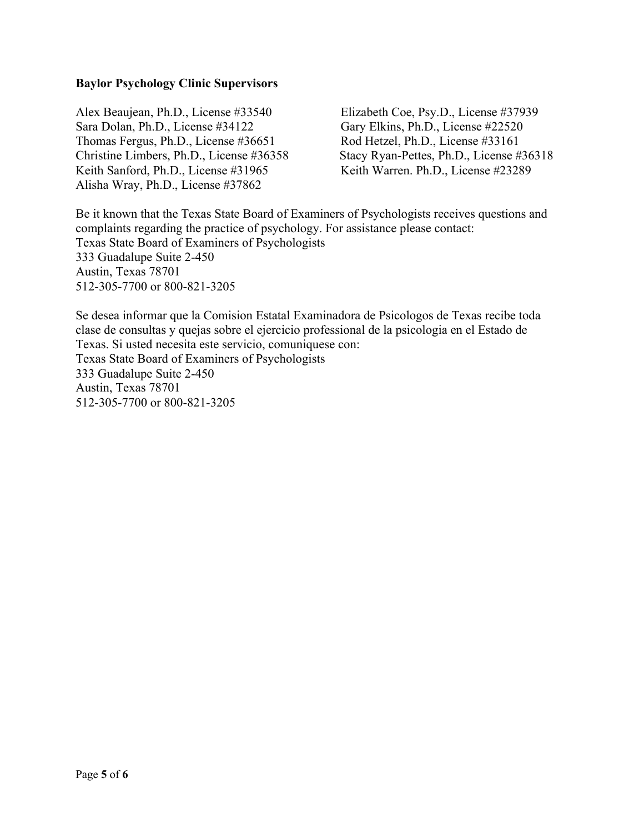### **Baylor Psychology Clinic Supervisors**

Alex Beaujean, Ph.D., License #33540 Elizabeth Coe, Psy.D., License #37939 Sara Dolan, Ph.D., License #34122 Gary Elkins, Ph.D., License #22520 Thomas Fergus, Ph.D., License #36651 Rod Hetzel, Ph.D., License #33161 Keith Sanford, Ph.D., License #31965 Keith Warren. Ph.D., License #23289 Alisha Wray, Ph.D., License #37862

Christine Limbers, Ph.D., License #36358 Stacy Ryan-Pettes, Ph.D., License #36318

Be it known that the Texas State Board of Examiners of Psychologists receives questions and complaints regarding the practice of psychology. For assistance please contact: Texas State Board of Examiners of Psychologists 333 Guadalupe Suite 2-450 Austin, Texas 78701 512-305-7700 or 800-821-3205

Se desea informar que la Comision Estatal Examinadora de Psicologos de Texas recibe toda clase de consultas y quejas sobre el ejercicio professional de la psicologia en el Estado de Texas. Si usted necesita este servicio, comuniquese con: Texas State Board of Examiners of Psychologists 333 Guadalupe Suite 2-450 Austin, Texas 78701 512-305-7700 or 800-821-3205